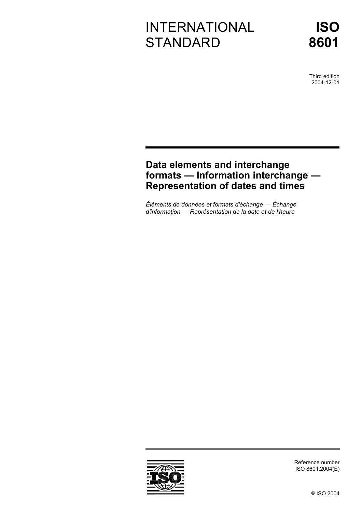# INTERNATIONAL **STANDARD**

**ISO 8601**

Third edition 2004-12-01

# **Data elements and interchange formats — Information interchange — Representation of dates and times**

*Éléments de données et formats d'échange — Échange d'information — Représentation de la date et de l'heure* 



Reference number ISO 8601:2004(E)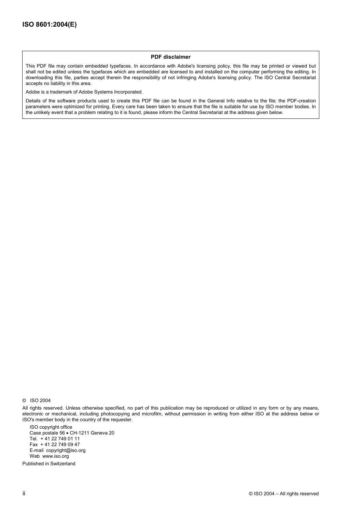#### **PDF disclaimer**

This PDF file may contain embedded typefaces. In accordance with Adobe's licensing policy, this file may be printed or viewed but shall not be edited unless the typefaces which are embedded are licensed to and installed on the computer performing the editing. In downloading this file, parties accept therein the responsibility of not infringing Adobe's licensing policy. The ISO Central Secretariat accepts no liability in this area.

Adobe is a trademark of Adobe Systems Incorporated.

Details of the software products used to create this PDF file can be found in the General Info relative to the file; the PDF-creation parameters were optimized for printing. Every care has been taken to ensure that the file is suitable for use by ISO member bodies. In the unlikely event that a problem relating to it is found, please inform the Central Secretariat at the address given below.

© ISO 2004

All rights reserved. Unless otherwise specified, no part of this publication may be reproduced or utilized in any form or by any means, electronic or mechanical, including photocopying and microfilm, without permission in writing from either ISO at the address below or ISO's member body in the country of the requester.

ISO copyright office Case postale 56 • CH-1211 Geneva 20 Tel. + 41 22 749 01 11 Fax + 41 22 749 09 47 E-mail copyright@iso.org Web www.iso.org

Published in Switzerland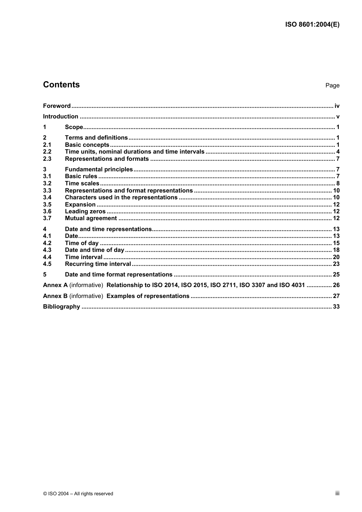# **Contents**

Page

| 1                                                         |                                                                                               |  |
|-----------------------------------------------------------|-----------------------------------------------------------------------------------------------|--|
| $\mathbf{2}$<br>2.1<br>2.2<br>2.3                         |                                                                                               |  |
| 3<br>3.1<br>3.2<br>3.3<br>3.4<br>3.5<br>3.6<br>3.7        |                                                                                               |  |
| $\overline{\mathbf{4}}$<br>41<br>4.2<br>4.3<br>4.4<br>4.5 |                                                                                               |  |
| 5                                                         |                                                                                               |  |
|                                                           | Annex A (informative) Relationship to ISO 2014, ISO 2015, ISO 2711, ISO 3307 and ISO 4031  26 |  |
|                                                           |                                                                                               |  |
|                                                           |                                                                                               |  |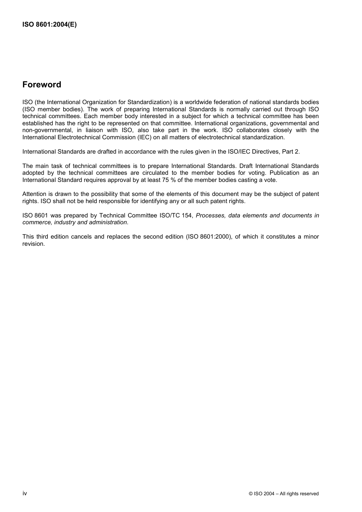# **Foreword**

ISO (the International Organization for Standardization) is a worldwide federation of national standards bodies (ISO member bodies). The work of preparing International Standards is normally carried out through ISO technical committees. Each member body interested in a subject for which a technical committee has been established has the right to be represented on that committee. International organizations, governmental and non-governmental, in liaison with ISO, also take part in the work. ISO collaborates closely with the International Electrotechnical Commission (IEC) on all matters of electrotechnical standardization.

International Standards are drafted in accordance with the rules given in the ISO/IEC Directives, Part 2.

The main task of technical committees is to prepare International Standards. Draft International Standards adopted by the technical committees are circulated to the member bodies for voting. Publication as an International Standard requires approval by at least 75 % of the member bodies casting a vote.

Attention is drawn to the possibility that some of the elements of this document may be the subject of patent rights. ISO shall not be held responsible for identifying any or all such patent rights.

ISO 8601 was prepared by Technical Committee ISO/TC 154, *Processes, data elements and documents in commerce, industry and administration*.

This third edition cancels and replaces the second edition (ISO 8601:2000), of which it constitutes a minor revision.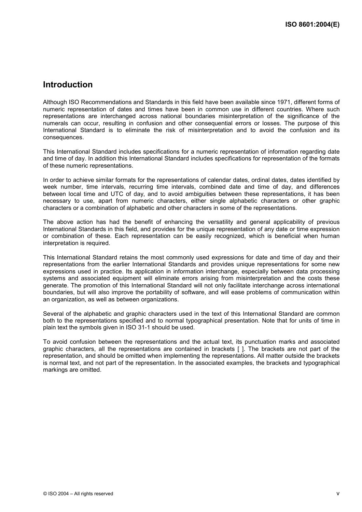# **Introduction**

Although ISO Recommendations and Standards in this field have been available since 1971, different forms of numeric representation of dates and times have been in common use in different countries. Where such representations are interchanged across national boundaries misinterpretation of the significance of the numerals can occur, resulting in confusion and other consequential errors or losses. The purpose of this International Standard is to eliminate the risk of misinterpretation and to avoid the confusion and its consequences.

This International Standard includes specifications for a numeric representation of information regarding date and time of day. In addition this International Standard includes specifications for representation of the formats of these numeric representations.

In order to achieve similar formats for the representations of calendar dates, ordinal dates, dates identified by week number, time intervals, recurring time intervals, combined date and time of day, and differences between local time and UTC of day, and to avoid ambiguities between these representations, it has been necessary to use, apart from numeric characters, either single alphabetic characters or other graphic characters or a combination of alphabetic and other characters in some of the representations.

The above action has had the benefit of enhancing the versatility and general applicability of previous International Standards in this field, and provides for the unique representation of any date or time expression or combination of these. Each representation can be easily recognized, which is beneficial when human interpretation is required.

This International Standard retains the most commonly used expressions for date and time of day and their representations from the earlier International Standards and provides unique representations for some new expressions used in practice. Its application in information interchange, especially between data processing systems and associated equipment will eliminate errors arising from misinterpretation and the costs these generate. The promotion of this International Standard will not only facilitate interchange across international boundaries, but will also improve the portability of software, and will ease problems of communication within an organization, as well as between organizations.

Several of the alphabetic and graphic characters used in the text of this International Standard are common both to the representations specified and to normal typographical presentation. Note that for units of time in plain text the symbols given in ISO 31-1 should be used.

To avoid confusion between the representations and the actual text, its punctuation marks and associated graphic characters, all the representations are contained in brackets [ ]. The brackets are not part of the representation, and should be omitted when implementing the representations. All matter outside the brackets is normal text, and not part of the representation. In the associated examples, the brackets and typographical markings are omitted.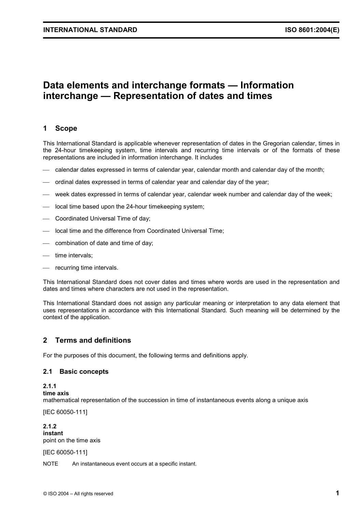# **Data elements and interchange formats — Information interchange — Representation of dates and times**

# **1 Scope**

This International Standard is applicable whenever representation of dates in the Gregorian calendar, times in the 24-hour timekeeping system, time intervals and recurring time intervals or of the formats of these representations are included in information interchange. It includes

- calendar dates expressed in terms of calendar year, calendar month and calendar day of the month;
- ordinal dates expressed in terms of calendar year and calendar day of the year;
- week dates expressed in terms of calendar year, calendar week number and calendar day of the week;
- $\mu$  local time based upon the 24-hour timekeeping system;
- Coordinated Universal Time of day;
- local time and the difference from Coordinated Universal Time;
- combination of date and time of day;
- $-$  time intervals;
- $-$  recurring time intervals.

This International Standard does not cover dates and times where words are used in the representation and dates and times where characters are not used in the representation.

This International Standard does not assign any particular meaning or interpretation to any data element that uses representations in accordance with this International Standard. Such meaning will be determined by the context of the application.

# **2 Terms and definitions**

For the purposes of this document, the following terms and definitions apply.

# **2.1 Basic concepts**

#### **2.1.1**

**time axis** 

mathematical representation of the succession in time of instantaneous events along a unique axis

[IEC 60050-111]

**2.1.2 instant**  point on the time axis

[IEC 60050-111]

NOTE An instantaneous event occurs at a specific instant.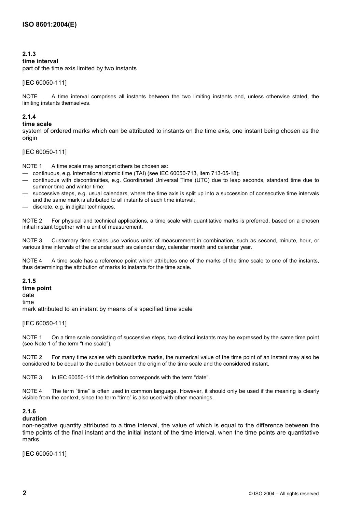# **2.1.3**

#### **time interval**

part of the time axis limited by two instants

[IEC 60050-111]

NOTE A time interval comprises all instants between the two limiting instants and, unless otherwise stated, the limiting instants themselves.

#### **2.1.4**

#### **time scale**

system of ordered marks which can be attributed to instants on the time axis, one instant being chosen as the origin

[IEC 60050-111]

NOTE 1 A time scale may amongst others be chosen as:

- continuous, e.g. international atomic time (TAI) (see IEC 60050-713, item 713-05-18);
- continuous with discontinuities, e.g. Coordinated Universal Time (UTC) due to leap seconds, standard time due to summer time and winter time;
- successive steps, e.g. usual calendars, where the time axis is split up into a succession of consecutive time intervals and the same mark is attributed to all instants of each time interval;
- discrete, e.g. in digital techniques.

NOTE 2 For physical and technical applications, a time scale with quantitative marks is preferred, based on a chosen initial instant together with a unit of measurement.

NOTE 3 Customary time scales use various units of measurement in combination, such as second, minute, hour, or various time intervals of the calendar such as calendar day, calendar month and calendar year.

NOTE 4 A time scale has a reference point which attributes one of the marks of the time scale to one of the instants, thus determining the attribution of marks to instants for the time scale.

**2.1.5 time point**  date time mark attributed to an instant by means of a specified time scale

[IEC 60050-111]

NOTE 1 On a time scale consisting of successive steps, two distinct instants may be expressed by the same time point (see Note 1 of the term "time scale").

NOTE 2 For many time scales with quantitative marks, the numerical value of the time point of an instant may also be considered to be equal to the duration between the origin of the time scale and the considered instant.

NOTE 3 In IEC 60050-111 this definition corresponds with the term "date".

NOTE 4 The term "time" is often used in common language. However, it should only be used if the meaning is clearly visible from the context, since the term "time" is also used with other meanings.

# **2.1.6**

#### **duration**

non-negative quantity attributed to a time interval, the value of which is equal to the difference between the time points of the final instant and the initial instant of the time interval, when the time points are quantitative marks

[IEC 60050-111]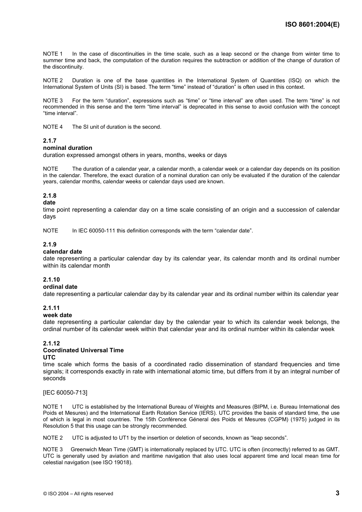NOTE 1 In the case of discontinuities in the time scale, such as a leap second or the change from winter time to summer time and back, the computation of the duration requires the subtraction or addition of the change of duration of the discontinuity.

NOTE 2 Duration is one of the base quantities in the International System of Quantities (ISQ) on which the International System of Units (SI) is based. The term "time" instead of "duration" is often used in this context.

NOTE 3 For the term "duration", expressions such as "time" or "time interval" are often used. The term "time" is not recommended in this sense and the term "time interval" is deprecated in this sense to avoid confusion with the concept "time interval".

NOTE 4 The SI unit of duration is the second.

# **2.1.7**

#### **nominal duration**

duration expressed amongst others in years, months, weeks or days

NOTE The duration of a calendar year, a calendar month, a calendar week or a calendar day depends on its position in the calendar. Therefore, the exact duration of a nominal duration can only be evaluated if the duration of the calendar years, calendar months, calendar weeks or calendar days used are known.

# **2.1.8**

#### **date**

time point representing a calendar day on a time scale consisting of an origin and a succession of calendar days

NOTE In IEC 60050-111 this definition corresponds with the term "calendar date".

#### **2.1.9**

#### **calendar date**

date representing a particular calendar day by its calendar year, its calendar month and its ordinal number within its calendar month

# **2.1.10**

#### **ordinal date**

date representing a particular calendar day by its calendar year and its ordinal number within its calendar year

# **2.1.11**

#### **week date**

date representing a particular calendar day by the calendar year to which its calendar week belongs, the ordinal number of its calendar week within that calendar year and its ordinal number within its calendar week

# **2.1.12 Coordinated Universal Time**

# **UTC**

time scale which forms the basis of a coordinated radio dissemination of standard frequencies and time signals; it corresponds exactly in rate with international atomic time, but differs from it by an integral number of seconds

#### [IEC 60050-713]

NOTE 1 UTC is established by the International Bureau of Weights and Measures (BIPM, i.e. Bureau International des Poids et Mesures) and the International Earth Rotation Service (IERS). UTC provides the basis of standard time, the use of which is legal in most countries. The 15th Conférence Géneral des Poids et Mesures (CGPM) (1975) judged in its Resolution 5 that this usage can be strongly recommended.

NOTE 2 UTC is adjusted to UT1 by the insertion or deletion of seconds, known as "leap seconds".

NOTE 3 Greenwich Mean Time (GMT) is internationally replaced by UTC. UTC is often (incorrectly) referred to as GMT. UTC is generally used by aviation and maritime navigation that also uses local apparent time and local mean time for celestial navigation (see ISO 19018).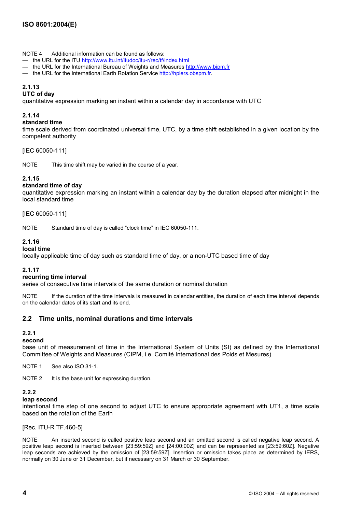#### NOTE 4 Additional information can be found as follows:

- the URL for the ITU<http://www.itu.int/itudoc/itu-r/rec/tf/index.html>
- the URL for the International Bureau of Weights and Measures <http://www.bipm.fr>
- the URL for the International Earth Rotation Service [http://hpiers.obspm.fr.](http://hpiers.obspm.fr)

# **2.1.13**

#### **UTC of day**

quantitative expression marking an instant within a calendar day in accordance with UTC

#### **2.1.14**

#### **standard time**

time scale derived from coordinated universal time, UTC, by a time shift established in a given location by the competent authority

#### [IEC 60050-111]

NOTE This time shift may be varied in the course of a year.

# **2.1.15**

# **standard time of day**

quantitative expression marking an instant within a calendar day by the duration elapsed after midnight in the local standard time

[IEC 60050-111]

NOTE Standard time of day is called "clock time" in IEC 60050-111.

# **2.1.16**

#### **local time**

locally applicable time of day such as standard time of day, or a non-UTC based time of day

# **2.1.17**

# **recurring time interval**

series of consecutive time intervals of the same duration or nominal duration

NOTE If the duration of the time intervals is measured in calendar entities, the duration of each time interval depends on the calendar dates of its start and its end.

# **2.2 Time units, nominal durations and time intervals**

# **2.2.1**

#### **second**

base unit of measurement of time in the International System of Units (SI) as defined by the International Committee of Weights and Measures (CIPM, i.e. Comité International des Poids et Mesures)

NOTE 1 See also ISO 31-1.

NOTE 2 It is the base unit for expressing duration.

# **2.2.2**

#### **leap second**

intentional time step of one second to adjust UTC to ensure appropriate agreement with UT1, a time scale based on the rotation of the Earth

#### [Rec. ITU-R TF.460-5]

NOTE An inserted second is called positive leap second and an omitted second is called negative leap second. A positive leap second is inserted between [23:59:59Z] and [24:00:00Z] and can be represented as [23:59:60Z]. Negative leap seconds are achieved by the omission of [23:59:59Z]. Insertion or omission takes place as determined by IERS, normally on 30 June or 31 December, but if necessary on 31 March or 30 September.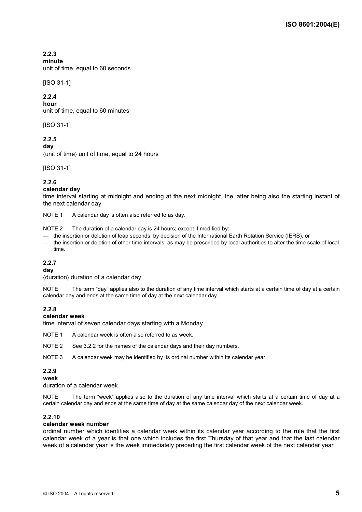# **2.2.3**

**minute** 

unit of time, equal to 60 seconds

[ISO 31-1]

# **2.2.4**

**hour**  unit of time, equal to 60 minutes

[ISO 31-1]

# **2.2.5**

**day** 

〈unit of time〉 unit of time, equal to 24 hours

[ISO 31-1]

# **2.2.6**

# **calendar day**

time interval starting at midnight and ending at the next midnight, the latter being also the starting instant of the next calendar day

NOTE 1 A calendar day is often also referred to as day.

NOTE 2 The duration of a calendar day is 24 hours; except if modified by:

- the insertion or deletion of leap seconds, by decision of the International Earth Rotation Service (IERS), or
- the insertion or deletion of other time intervals, as may be prescribed by local authorities to alter the time scale of local time.

# **2.2.7**

**day** 

〈duration〉 duration of a calendar day

NOTE The term "day" applies also to the duration of any time interval which starts at a certain time of day at a certain calendar day and ends at the same time of day at the next calendar day.

# **2.2.8**

# **calendar week**

time interval of seven calendar days starting with a Monday

NOTE 1 A calendar week is often also referred to as week.

NOTE 2 See 3.2.2 for the names of the calendar days and their day numbers.

NOTE 3 A calendar week may be identified by its ordinal number within its calendar vear.

# **2.2.9**

**week** 

duration of a calendar week

NOTE The term "week" applies also to the duration of any time interval which starts at a certain time of day at a certain calendar day and ends at the same time of day at the same calendar day of the next calendar week.

# **2.2.10**

# **calendar week number**

ordinal number which identifies a calendar week within its calendar year according to the rule that the first calendar week of a year is that one which includes the first Thursday of that year and that the last calendar week of a calendar year is the week immediately preceding the first calendar week of the next calendar year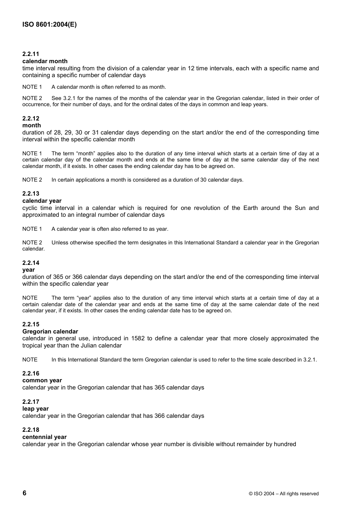# **2.2.11**

# **calendar month**

time interval resulting from the division of a calendar year in 12 time intervals, each with a specific name and containing a specific number of calendar days

NOTE 1 A calendar month is often referred to as month.

NOTE 2 See 3.2.1 for the names of the months of the calendar year in the Gregorian calendar, listed in their order of occurrence, for their number of days, and for the ordinal dates of the days in common and leap years.

# **2.2.12**

**month** 

duration of 28, 29, 30 or 31 calendar days depending on the start and/or the end of the corresponding time interval within the specific calendar month

NOTE 1 The term "month" applies also to the duration of any time interval which starts at a certain time of day at a certain calendar day of the calendar month and ends at the same time of day at the same calendar day of the next calendar month, if it exists. In other cases the ending calendar day has to be agreed on.

NOTE 2 In certain applications a month is considered as a duration of 30 calendar days.

# **2.2.13**

#### **calendar year**

cyclic time interval in a calendar which is required for one revolution of the Earth around the Sun and approximated to an integral number of calendar days

NOTE 1 A calendar year is often also referred to as year.

NOTE 2 Unless otherwise specified the term designates in this International Standard a calendar year in the Gregorian calendar.

# **2.2.14**

# **year**

duration of 365 or 366 calendar days depending on the start and/or the end of the corresponding time interval within the specific calendar year

NOTE The term "year" applies also to the duration of any time interval which starts at a certain time of day at a certain calendar date of the calendar year and ends at the same time of day at the same calendar date of the next calendar year, if it exists. In other cases the ending calendar date has to be agreed on.

#### **2.2.15**

#### **Gregorian calendar**

calendar in general use, introduced in 1582 to define a calendar year that more closely approximated the tropical year than the Julian calendar

NOTE In this International Standard the term Gregorian calendar is used to refer to the time scale described in 3.2.1.

# **2.2.16**

#### **common year**

calendar year in the Gregorian calendar that has 365 calendar days

#### **2.2.17**

#### **leap year**

calendar year in the Gregorian calendar that has 366 calendar days

# **2.2.18**

#### **centennial year**

calendar year in the Gregorian calendar whose year number is divisible without remainder by hundred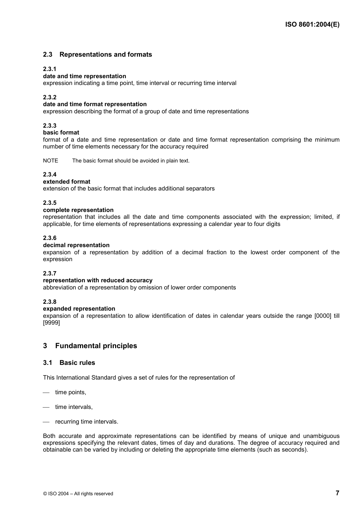# **2.3 Representations and formats**

# **2.3.1**

# **date and time representation**

expression indicating a time point, time interval or recurring time interval

# **2.3.2**

# **date and time format representation**

expression describing the format of a group of date and time representations

# **2.3.3**

# **basic format**

format of a date and time representation or date and time format representation comprising the minimum number of time elements necessary for the accuracy required

NOTE The basic format should be avoided in plain text.

# **2.3.4**

# **extended format**

extension of the basic format that includes additional separators

# **2.3.5**

# **complete representation**

representation that includes all the date and time components associated with the expression; limited, if applicable, for time elements of representations expressing a calendar year to four digits

# **2.3.6**

# **decimal representation**

expansion of a representation by addition of a decimal fraction to the lowest order component of the expression

# **2.3.7**

# **representation with reduced accuracy**

abbreviation of a representation by omission of lower order components

# **2.3.8**

# **expanded representation**

expansion of a representation to allow identification of dates in calendar years outside the range [0000] till [9999]

# **3 Fundamental principles**

# **3.1 Basic rules**

This International Standard gives a set of rules for the representation of

- $-$  time points,
- $-$  time intervals,
- recurring time intervals.

Both accurate and approximate representations can be identified by means of unique and unambiguous expressions specifying the relevant dates, times of day and durations. The degree of accuracy required and obtainable can be varied by including or deleting the appropriate time elements (such as seconds).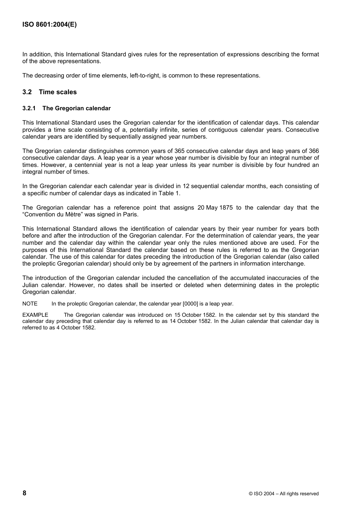In addition, this International Standard gives rules for the representation of expressions describing the format of the above representations.

The decreasing order of time elements, left-to-right, is common to these representations.

# **3.2 Time scales**

# **3.2.1 The Gregorian calendar**

This International Standard uses the Gregorian calendar for the identification of calendar days. This calendar provides a time scale consisting of a, potentially infinite, series of contiguous calendar years. Consecutive calendar years are identified by sequentially assigned year numbers.

The Gregorian calendar distinguishes common years of 365 consecutive calendar days and leap years of 366 consecutive calendar days. A leap year is a year whose year number is divisible by four an integral number of times. However, a centennial year is not a leap year unless its year number is divisible by four hundred an integral number of times.

In the Gregorian calendar each calendar year is divided in 12 sequential calendar months, each consisting of a specific number of calendar days as indicated in Table 1.

The Gregorian calendar has a reference point that assigns 20 May 1875 to the calendar day that the "Convention du Mètre" was signed in Paris.

This International Standard allows the identification of calendar years by their year number for years both before and after the introduction of the Gregorian calendar. For the determination of calendar years, the year number and the calendar day within the calendar year only the rules mentioned above are used. For the purposes of this International Standard the calendar based on these rules is referred to as the Gregorian calendar. The use of this calendar for dates preceding the introduction of the Gregorian calendar (also called the proleptic Gregorian calendar) should only be by agreement of the partners in information interchange.

The introduction of the Gregorian calendar included the cancellation of the accumulated inaccuracies of the Julian calendar. However, no dates shall be inserted or deleted when determining dates in the proleptic Gregorian calendar.

NOTE In the proleptic Gregorian calendar, the calendar year [0000] is a leap year.

EXAMPLE The Gregorian calendar was introduced on 15 October 1582. In the calendar set by this standard the calendar day preceding that calendar day is referred to as 14 October 1582. In the Julian calendar that calendar day is referred to as 4 October 1582.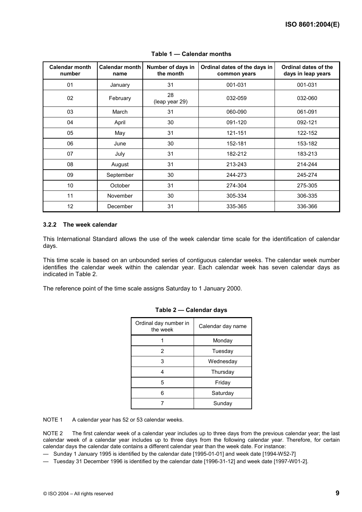| <b>Calendar month</b><br>number | <b>Calendar month</b><br>name | Number of days in<br>the month | Ordinal dates of the days in<br>common years | <b>Ordinal dates of the</b><br>days in leap years |
|---------------------------------|-------------------------------|--------------------------------|----------------------------------------------|---------------------------------------------------|
| 01                              | January                       | 31                             | 001-031                                      | 001-031                                           |
| 02                              | February                      | 28<br>(leap year 29)           | 032-059                                      | 032-060                                           |
| 03                              | March                         | 31                             | 060-090                                      | 061-091                                           |
| 04                              | April                         | 30                             | 091-120                                      | 092-121                                           |
| 05                              | May                           | 31                             | 121-151                                      | 122-152                                           |
| 06                              | June                          | 30                             | 152-181                                      | 153-182                                           |
| 07                              | July                          | 31                             | 182-212                                      | 183-213                                           |
| 08                              | August                        | 31                             | 213-243                                      | 214-244                                           |
| 09                              | September                     | 30                             | 244-273                                      | 245-274                                           |
| 10                              | October                       | 31                             | 274-304                                      | 275-305                                           |
| 11                              | November                      | 30                             | 305-334                                      | 306-335                                           |
| 12                              | December                      | 31                             | 335-365                                      | 336-366                                           |

**Table 1 — Calendar months** 

# **3.2.2 The week calendar**

This International Standard allows the use of the week calendar time scale for the identification of calendar days.

This time scale is based on an unbounded series of contiguous calendar weeks. The calendar week number identifies the calendar week within the calendar year. Each calendar week has seven calendar days as indicated in Table 2.

The reference point of the time scale assigns Saturday to 1 January 2000.

| Ordinal day number in<br>the week | Calendar day name |
|-----------------------------------|-------------------|
|                                   | Monday            |
| 2                                 | Tuesday           |
| 3                                 | Wednesday         |
| Δ                                 | Thursday          |
| 5                                 | Friday            |
| 6                                 | Saturday          |
|                                   | Sunday            |

| Table 2 - Calendar days |  |  |
|-------------------------|--|--|
|-------------------------|--|--|

NOTE 1 A calendar year has 52 or 53 calendar weeks.

NOTE 2 The first calendar week of a calendar year includes up to three days from the previous calendar year; the last calendar week of a calendar year includes up to three days from the following calendar year. Therefore, for certain calendar days the calendar date contains a different calendar year than the week date. For instance:

— Sunday 1 January 1995 is identified by the calendar date [1995-01-01] and week date [1994-W52-7]

— Tuesday 31 December 1996 is identified by the calendar date [1996-31-12] and week date [1997-W01-2].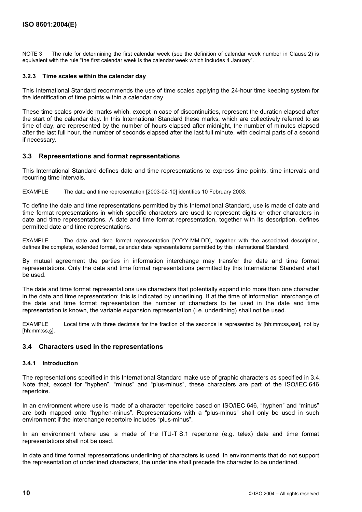NOTE 3 The rule for determining the first calendar week (see the definition of calendar week number in Clause 2) is equivalent with the rule "the first calendar week is the calendar week which includes 4 January".

# **3.2.3 Time scales within the calendar day**

This International Standard recommends the use of time scales applying the 24-hour time keeping system for the identification of time points within a calendar day.

These time scales provide marks which, except in case of discontinuities, represent the duration elapsed after the start of the calendar day. In this International Standard these marks, which are collectively referred to as time of day, are represented by the number of hours elapsed after midnight, the number of minutes elapsed after the last full hour, the number of seconds elapsed after the last full minute, with decimal parts of a second if necessary.

# **3.3 Representations and format representations**

This International Standard defines date and time representations to express time points, time intervals and recurring time intervals.

EXAMPLE The date and time representation [2003-02-10] identifies 10 February 2003.

To define the date and time representations permitted by this International Standard, use is made of date and time format representations in which specific characters are used to represent digits or other characters in date and time representations. A date and time format representation, together with its description, defines permitted date and time representations.

EXAMPLE The date and time format representation [YYYY-MM-DD], together with the associated description, defines the complete, extended format, calendar date representations permitted by this International Standard.

By mutual agreement the parties in information interchange may transfer the date and time format representations. Only the date and time format representations permitted by this International Standard shall be used.

The date and time format representations use characters that potentially expand into more than one character in the date and time representation; this is indicated by underlining. If at the time of information interchange of the date and time format representation the number of characters to be used in the date and time representation is known, the variable expansion representation (i.e. underlining) shall not be used.

EXAMPLE Local time with three decimals for the fraction of the seconds is represented by [hh:mm:ss,sss], not by [hh:mm:ss,s].

# **3.4 Characters used in the representations**

# **3.4.1 Introduction**

The representations specified in this International Standard make use of graphic characters as specified in 3.4. Note that, except for "hyphen", "minus" and "plus-minus", these characters are part of the ISO/IEC 646 repertoire.

In an environment where use is made of a character repertoire based on ISO/IEC 646, "hyphen" and "minus" are both mapped onto "hyphen-minus". Representations with a "plus-minus" shall only be used in such environment if the interchange repertoire includes "plus-minus".

In an environment where use is made of the ITU-T S.1 repertoire (e.g. telex) date and time format representations shall not be used.

In date and time format representations underlining of characters is used. In environments that do not support the representation of underlined characters, the underline shall precede the character to be underlined.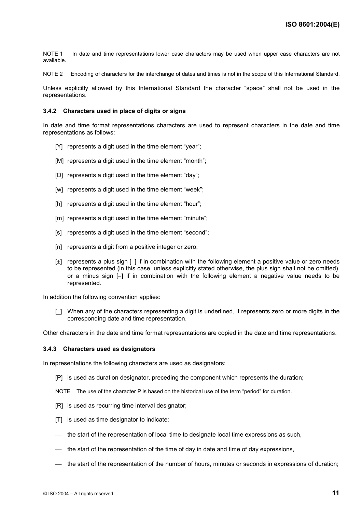NOTE 1 In date and time representations lower case characters may be used when upper case characters are not available.

NOTE 2 Encoding of characters for the interchange of dates and times is not in the scope of this International Standard.

Unless explicitly allowed by this International Standard the character "space" shall not be used in the representations.

#### **3.4.2 Characters used in place of digits or signs**

In date and time format representations characters are used to represent characters in the date and time representations as follows:

- [Y] represents a digit used in the time element "year";
- [M] represents a digit used in the time element "month";
- [D] represents a digit used in the time element "day";
- [w] represents a digit used in the time element "week";
- [h] represents a digit used in the time element "hour";
- [m] represents a digit used in the time element "minute";
- [s] represents a digit used in the time element "second":
- [n] represents a digit from a positive integer or zero;
- $[t]$  represents a plus sign  $[t]$  if in combination with the following element a positive value or zero needs to be represented (in this case, unless explicitly stated otherwise, the plus sign shall not be omitted), or a minus sign [−] if in combination with the following element a negative value needs to be represented.

In addition the following convention applies:

[\_] When any of the characters representing a digit is underlined, it represents zero or more digits in the corresponding date and time representation.

Other characters in the date and time format representations are copied in the date and time representations.

#### **3.4.3 Characters used as designators**

In representations the following characters are used as designators:

- [P] is used as duration designator, preceding the component which represents the duration;
- NOTE The use of the character P is based on the historical use of the term "period" for duration.
- [R] is used as recurring time interval designator;
- [T] is used as time designator to indicate:
- the start of the representation of local time to designate local time expressions as such,
- the start of the representation of the time of day in date and time of day expressions,
- the start of the representation of the number of hours, minutes or seconds in expressions of duration;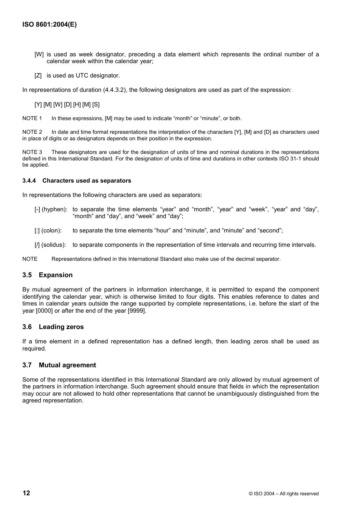- [W] is used as week designator, preceding a data element which represents the ordinal number of a calendar week within the calendar year;
- [Z] is used as UTC designator.

In representations of duration (4.4.3.2), the following designators are used as part of the expression:

[Y] [M] [W] [D] [H] [M] [S]

NOTE 1 In these expressions, [M] may be used to indicate "month" or "minute", or both.

NOTE 2 In date and time format representations the interpretation of the characters [Y], [M] and [D] as characters used in place of digits or as designators depends on their position in the expression.

NOTE 3 These designators are used for the designation of units of time and nominal durations in the representations defined in this International Standard. For the designation of units of time and durations in other contexts ISO 31-1 should be applied.

#### **3.4.4 Characters used as separators**

In representations the following characters are used as separators:

- [-] (hyphen): to separate the time elements "year" and "month", "year" and "week", "year" and "day", "month" and "day", and "week" and "day";
- [:] (colon): to separate the time elements "hour" and "minute", and "minute" and "second";
- [/] (solidus): to separate components in the representation of time intervals and recurring time intervals.
- NOTE Representations defined in this International Standard also make use of the decimal separator.

#### **3.5 Expansion**

By mutual agreement of the partners in information interchange, it is permitted to expand the component identifying the calendar year, which is otherwise limited to four digits. This enables reference to dates and times in calendar years outside the range supported by complete representations, i.e. before the start of the year [0000] or after the end of the year [9999].

# **3.6 Leading zeros**

If a time element in a defined representation has a defined length, then leading zeros shall be used as required.

#### **3.7 Mutual agreement**

Some of the representations identified in this International Standard are only allowed by mutual agreement of the partners in information interchange. Such agreement should ensure that fields in which the representation may occur are not allowed to hold other representations that cannot be unambiguously distinguished from the agreed representation.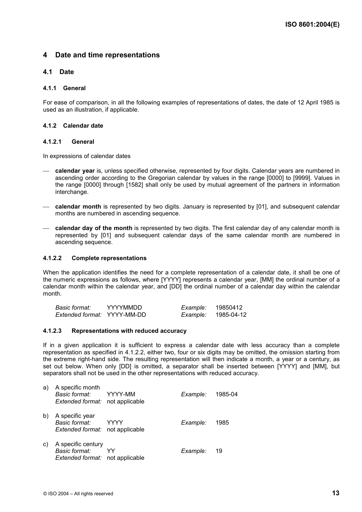# **4 Date and time representations**

# **4.1 Date**

# **4.1.1 General**

For ease of comparison, in all the following examples of representations of dates, the date of 12 April 1985 is used as an illustration, if applicable.

# **4.1.2 Calendar date**

# **4.1.2.1 General**

In expressions of calendar dates

- **calendar year** is, unless specified otherwise, represented by four digits. Calendar years are numbered in ascending order according to the Gregorian calendar by values in the range [0000] to [9999]. Values in the range [0000] through [1582] shall only be used by mutual agreement of the partners in information interchange.
- **calendar month** is represented by two digits. January is represented by [01], and subsequent calendar months are numbered in ascending sequence.
- **calendar day of the month** is represented by two digits. The first calendar day of any calendar month is represented by [01] and subsequent calendar days of the same calendar month are numbered in ascending sequence.

# **4.1.2.2 Complete representations**

When the application identifies the need for a complete representation of a calendar date, it shall be one of the numeric expressions as follows, where [YYYY] represents a calendar year, [MM] the ordinal number of a calendar month within the calendar year, and [DD] the ordinal number of a calendar day within the calendar month.

| Basic format:               | <b>YYYYMMDD</b> | Example: | 19850412   |
|-----------------------------|-----------------|----------|------------|
| Extended format: YYYY-MM-DD |                 | Example: | 1985-04-12 |

# **4.1.2.3 Representations with reduced accuracy**

If in a given application it is sufficient to express a calendar date with less accuracy than a complete representation as specified in 4.1.2.2, either two, four or six digits may be omitted, the omission starting from the extreme right-hand side. The resulting representation will then indicate a month, a year or a century, as set out below. When only [DD] is omitted, a separator shall be inserted between [YYYY] and [MM], but separators shall not be used in the other representations with reduced accuracy.

| a) | A specific month<br>Basic format:<br>Extended format:                  | YYYY-MM<br>not applicable     | Example: | 1985-04 |
|----|------------------------------------------------------------------------|-------------------------------|----------|---------|
| b) | A specific year<br>Basic format:<br>Extended format:                   | <b>YYYY</b><br>not applicable | Example: | 1985    |
| C) | A specific century<br>Basic format:<br>Extended format: not applicable | YY                            | Example: | 19      |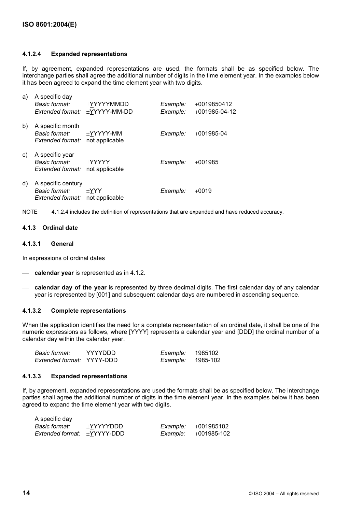a) and a specific day and a specific day of the specific day of the specific day of the specific day of the specific day of the specific day of the specific day of the specific day of the specific day of the specific day o

# **4.1.2.4 Expanded representations**

If, by agreement, expanded representations are used, the formats shall be as specified below. The interchange parties shall agree the additional number of digits in the time element year. In the examples below it has been agreed to expand the time element year with two digits.

| a) | A specific day<br>Basic format:<br>Extended format:     | ±YYYYYMMDD<br>±YYYYY-MM-DD  | Example:<br>Example: | $+0019850412$<br>$+001985 - 04 - 12$ |
|----|---------------------------------------------------------|-----------------------------|----------------------|--------------------------------------|
| b) | A specific month<br>Basic format:<br>Extended format:   | ±YYYYY-MM<br>not applicable | Example:             | $+001985-04$                         |
| C) | A specific year<br>Basic format:<br>Extended format:    | ±YYYYY<br>not applicable    | Example:             | $+001985$                            |
| d) | A specific century<br>Basic format:<br>Extended format: | $\pm$ YYY<br>not applicable | Example:             | $+0019$                              |

NOTE 4.1.2.4 includes the definition of representations that are expanded and have reduced accuracy.

# **4.1.3 Ordinal date**

# **4.1.3.1 General**

In expressions of ordinal dates

- **calendar year** is represented as in 4.1.2.
- **calendar day of the year** is represented by three decimal digits. The first calendar day of any calendar year is represented by [001] and subsequent calendar days are numbered in ascending sequence.

# **4.1.3.2 Complete representations**

When the application identifies the need for a complete representation of an ordinal date, it shall be one of the numeric expressions as follows, where [YYYY] represents a calendar year and [DDD] the ordinal number of a calendar day within the calendar year.

| Basic format:             | YYYYDDD | Example: | 1985102  |
|---------------------------|---------|----------|----------|
| Extended format: YYYY-DDD |         | Example: | 1985-102 |

# **4.1.3.3 Expanded representations**

If, by agreement, expanded representations are used the formats shall be as specified below. The interchange parties shall agree the additional number of digits in the time element year. In the examples below it has been agreed to expand the time element year with two digits.

| A specific day                     |           |          |                       |
|------------------------------------|-----------|----------|-----------------------|
| Basic format:                      | ±YYYYYDDD |          | $Example: +001985102$ |
| $Extended$ format: $\pm$ YYYYY-DDD |           | Example: | +001985-102           |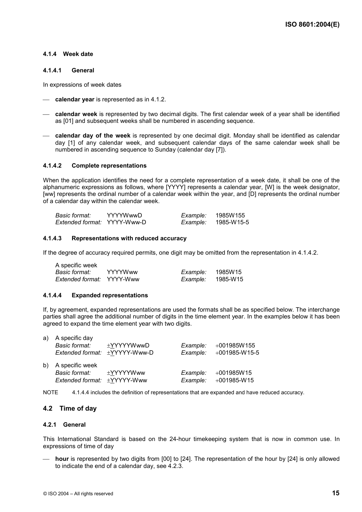# **4.1.4 Week date**

# **4.1.4.1 General**

In expressions of week dates

- **calendar year** is represented as in 4.1.2.
- **calendar week** is represented by two decimal digits. The first calendar week of a year shall be identified as [01] and subsequent weeks shall be numbered in ascending sequence.
- **calendar day of the week** is represented by one decimal digit. Monday shall be identified as calendar day [1] of any calendar week, and subsequent calendar days of the same calendar week shall be numbered in ascending sequence to Sunday (calendar day [7]).

# **4.1.4.2 Complete representations**

When the application identifies the need for a complete representation of a week date, it shall be one of the alphanumeric expressions as follows, where [YYYY] represents a calendar year, [W] is the week designator, [ww] represents the ordinal number of a calendar week within the year, and [D] represents the ordinal number of a calendar day within the calendar week.

| Basic format:               | <b>YYYYWwwD</b> | Example: | 1985W155   |
|-----------------------------|-----------------|----------|------------|
| Extended format: YYYY-Www-D |                 | Example: | 1985-W15-5 |

# **4.1.4.3 Representations with reduced accuracy**

If the degree of accuracy required permits, one digit may be omitted from the representation in 4.1.4.2.

| A specific week           |                |          |          |
|---------------------------|----------------|----------|----------|
| Basic format:             | <b>YYYYWww</b> | Example: | 1985W15  |
| Extended format: YYYY-Www |                | Example: | 1985-W15 |

# **4.1.4.4 Expanded representations**

If, by agreement, expanded representations are used the formats shall be as specified below. The interchange parties shall agree the additional number of digits in the time element year. In the examples below it has been agreed to expand the time element year with two digits.

| a) | A specific day<br><b>Basic format:</b> | ±YYYYYWwwD                    | Example: | $+001985W155$   |
|----|----------------------------------------|-------------------------------|----------|-----------------|
|    |                                        | Extended format: ±YYYYY-Www-D | Example: | $+001985-W15-5$ |
|    |                                        |                               |          |                 |
| b) | A specific week                        |                               |          |                 |
|    | <b>Basic format:</b>                   | ±YYYYYWww                     | Example: | $+001985W15$    |
|    | Extended format: ±YYYYY-Www            |                               | Example: | $+001985$ -W15  |
|    |                                        |                               |          |                 |

NOTE 4.1.4.4 includes the definition of representations that are expanded and have reduced accuracy.

# **4.2 Time of day**

# **4.2.1 General**

This International Standard is based on the 24-hour timekeeping system that is now in common use. In expressions of time of day

 **hour** is represented by two digits from [00] to [24]. The representation of the hour by [24] is only allowed to indicate the end of a calendar day, see 4.2.3.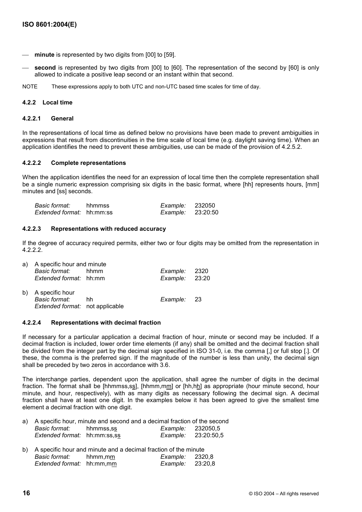- **minute** is represented by two digits from [00] to [59].
- **second** is represented by two digits from [00] to [60]. The representation of the second by [60] is only allowed to indicate a positive leap second or an instant within that second.
- NOTE These expressions apply to both UTC and non-UTC based time scales for time of day.

# **4.2.2 Local time**

#### **4.2.2.1 General**

In the representations of local time as defined below no provisions have been made to prevent ambiguities in expressions that result from discontinuities in the time scale of local time (e.g. daylight saving time). When an application identifies the need to prevent these ambiguities, use can be made of the provision of 4.2.5.2.

# **4.2.2.2 Complete representations**

When the application identifies the need for an expression of local time then the complete representation shall be a single numeric expression comprising six digits in the basic format, where [hh] represents hours, [mm] minutes and [ss] seconds.

| Basic format:                    | hhmmss | Example: | 232050   |
|----------------------------------|--------|----------|----------|
| <i>Extended format:</i> hh:mm:ss |        | Example: | 23:20:50 |

#### **4.2.2.3 Representations with reduced accuracy**

If the degree of accuracy required permits, either two or four digits may be omitted from the representation in 4.2.2.2.

| a) A specific hour and minute       |    |                |  |  |
|-------------------------------------|----|----------------|--|--|
| Basic format: hhmm                  |    | Example: 2320  |  |  |
| <i>Extended format:</i> hh:mm       |    | Example: 23:20 |  |  |
| b) A specific hour<br>Basic format: | hh | Example: 23    |  |  |
| Extended format: not applicable     |    |                |  |  |

#### **4.2.2.4 Representations with decimal fraction**

If necessary for a particular application a decimal fraction of hour, minute or second may be included. If a decimal fraction is included, lower order time elements (if any) shall be omitted and the decimal fraction shall be divided from the integer part by the decimal sign specified in ISO 31-0, i.e. the comma [,] or full stop [.]. Of these, the comma is the preferred sign. If the magnitude of the number is less than unity, the decimal sign shall be preceded by two zeros in accordance with 3.6.

The interchange parties, dependent upon the application, shall agree the number of digits in the decimal fraction. The format shall be [hhmmss,ss], [hhmm,mm] or [hh,hh] as appropriate (hour minute second, hour minute, and hour, respectively), with as many digits as necessary following the decimal sign. A decimal fraction shall have at least one digit. In the examples below it has been agreed to give the smallest time element a decimal fraction with one digit.

|                                     | a) A specific hour, minute and second and a decimal fraction of the second |                   |                     |
|-------------------------------------|----------------------------------------------------------------------------|-------------------|---------------------|
| <i>Basic format:</i> hhmmss,ss      |                                                                            | Example: 232050,5 |                     |
| <i>Extended format:</i> hh:mm:ss,ss |                                                                            |                   | Example: 23:20:50,5 |

| b) A specific hour and minute and a decimal fraction of the minute |  |                 |         |
|--------------------------------------------------------------------|--|-----------------|---------|
| <i>Basic format:</i> hhmm.mm                                       |  | Example: 2320,8 |         |
| <i>Extended format:</i> hh:mm,mm                                   |  | Example:        | 23:20.8 |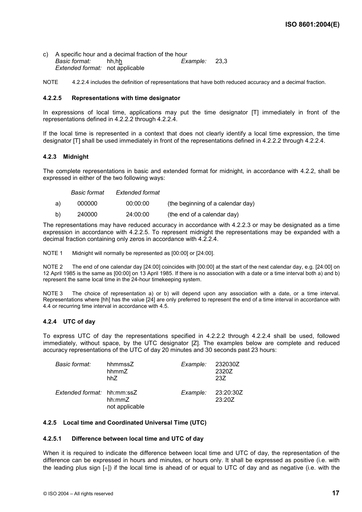c) A specific hour and a decimal fraction of the hour *Basic format:* hh,hh *Example:* 23,3 *Extended format:* not applicable

NOTE 4.2.2.4 includes the definition of representations that have both reduced accuracy and a decimal fraction.

# **4.2.2.5 Representations with time designator**

In expressions of local time, applications may put the time designator [T] immediately in front of the representations defined in 4.2.2.2 through 4.2.2.4.

If the local time is represented in a context that does not clearly identify a local time expression, the time designator [T] shall be used immediately in front of the representations defined in 4.2.2.2 through 4.2.2.4.

# **4.2.3 Midnight**

The complete representations in basic and extended format for midnight, in accordance with 4.2.2, shall be expressed in either of the two following ways:

|    | <b>Basic format</b> | <b>Extended format</b> |                                   |
|----|---------------------|------------------------|-----------------------------------|
| a) | 000000              | 00:00:00               | (the beginning of a calendar day) |
| b) | 240000              | 24:00:00               | (the end of a calendar day)       |

The representations may have reduced accuracy in accordance with 4.2.2.3 or may be designated as a time expression in accordance with 4.2.2.5. To represent midnight the representations may be expanded with a decimal fraction containing only zeros in accordance with 4.2.2.4.

NOTE 1 Midnight will normally be represented as [00:00] or [24:00].

NOTE 2 The end of one calendar day [24:00] coincides with [00:00] at the start of the next calendar day, e.g. [24:00] on 12 April 1985 is the same as [00:00] on 13 April 1985. If there is no association with a date or a time interval both a) and b) represent the same local time in the 24-hour timekeeping system.

NOTE 3 The choice of representation a) or b) will depend upon any association with a date, or a time interval. Representations where [hh] has the value [24] are only preferred to represent the end of a time interval in accordance with 4.4 or recurring time interval in accordance with 4.5.

# **4.2.4 UTC of day**

To express UTC of day the representations specified in 4.2.2.2 through 4.2.2.4 shall be used, followed immediately, without space, by the UTC designator [Z]. The examples below are complete and reduced accuracy representations of the UTC of day 20 minutes and 30 seconds past 23 hours:

| Basic format:                     | hhmmssZ<br>hhmmZ<br>hh7. | Example: 232030Z   | 2320Z<br>23Z |
|-----------------------------------|--------------------------|--------------------|--------------|
| <i>Extended format:</i> hh:mm:ssZ | hh:mmZ<br>not applicable | Example: 23:20:30Z | 23:20Z       |

# **4.2.5 Local time and Coordinated Universal Time (UTC)**

# **4.2.5.1 Difference between local time and UTC of day**

When it is required to indicate the difference between local time and UTC of day, the representation of the difference can be expressed in hours and minutes, or hours only. It shall be expressed as positive (i.e. with the leading plus sign [+]) if the local time is ahead of or equal to UTC of day and as negative (i.e. with the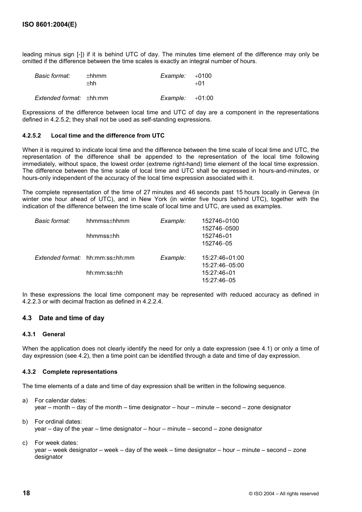leading minus sign [-]) if it is behind UTC of day. The minutes time element of the difference may only be omitted if the difference between the time scales is exactly an integral number of hours.

| Basic format:                | $\pm$ hhmm<br>$+hh$ | Example: $+0100$  | $+01$ |
|------------------------------|---------------------|-------------------|-------|
| Extended format: $\pm$ hh:mm |                     | Example: $+01:00$ |       |

Expressions of the difference between local time and UTC of day are a component in the representations defined in 4.2.5.2; they shall not be used as self-standing expressions.

# **4.2.5.2 Local time and the difference from UTC**

When it is required to indicate local time and the difference between the time scale of local time and UTC, the representation of the difference shall be appended to the representation of the local time following immediately, without space, the lowest order (extreme right-hand) time element of the local time expression. The difference between the time scale of local time and UTC shall be expressed in hours-and-minutes, or hours-only independent of the accuracy of the local time expression associated with it.

The complete representation of the time of 27 minutes and 46 seconds past 15 hours locally in Geneva (in winter one hour ahead of UTC), and in New York (in winter five hours behind UTC), together with the indication of the difference between the time scale of local time and UTC, are used as examples.

| Basic format: | hhmmss <sub>±</sub> hhmm        | Example: | 152746+0100    |
|---------------|---------------------------------|----------|----------------|
|               |                                 |          | 152746-0500    |
|               | $h$ hmmss $\pm$ hh              |          | 152746+01      |
|               |                                 |          | 152746-05      |
|               | Extended format: hh:mm:ss±hh:mm | Example: | 15:27:46+01:00 |
|               |                                 |          | 15:27:46-05:00 |
|               | $hh:mm:ss\pm hh$                |          | 15:27:46+01    |
|               |                                 |          | 15:27:46-05    |
|               |                                 |          |                |

In these expressions the local time component may be represented with reduced accuracy as defined in 4.2.2.3 or with decimal fraction as defined in 4.2.2.4.

# **4.3 Date and time of day**

# **4.3.1 General**

When the application does not clearly identify the need for only a date expression (see 4.1) or only a time of day expression (see 4.2), then a time point can be identified through a date and time of day expression.

# **4.3.2 Complete representations**

The time elements of a date and time of day expression shall be written in the following sequence.

- a) For calendar dates: year – month – day of the month – time designator – hour – minute – second – zone designator
- b) For ordinal dates: year – day of the year – time designator – hour – minute – second – zone designator
- c) For week dates: year – week designator – week – day of the week – time designator – hour – minute – second – zone designator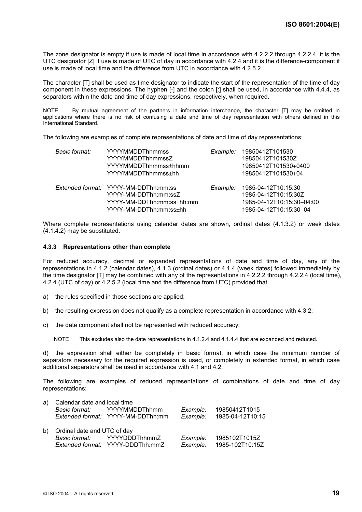The zone designator is empty if use is made of local time in accordance with 4.2.2.2 through 4.2.2.4, it is the UTC designator [Z] if use is made of UTC of day in accordance with 4.2.4 and it is the difference-component if use is made of local time and the difference from UTC in accordance with 4.2.5.2.

The character [T] shall be used as time designator to indicate the start of the representation of the time of day component in these expressions. The hyphen [-] and the colon [:] shall be used, in accordance with 4.4.4, as separators within the date and time of day expressions, respectively, when required.

NOTE By mutual agreement of the partners in information interchange, the character [T] may be omitted in applications where there is no risk of confusing a date and time of day representation with others defined in this International Standard.

The following are examples of complete representations of date and time of day representations:

| Basic format: | <b>YYYYMMDDThhmmss</b><br><b>YYYYMMDDThhmmssZ</b><br>YYYYMMDDThhmmss±hhmm<br>YYYYMMDDThhmmss±hh                     | Example: | 19850412T101530<br>19850412T101530Z<br>19850412T101530+0400<br>19850412T101530+04                           |
|---------------|---------------------------------------------------------------------------------------------------------------------|----------|-------------------------------------------------------------------------------------------------------------|
|               | Extended format: YYYY-MM-DDThh:mm:ss<br>YYYY-MM-DDThh:mm:ssZ<br>YYYY-MM-DDThh:mm:ss±hh:mm<br>YYYY-MM-DDThh:mm:ss+hh |          | Example: 1985-04-12T10:15:30<br>1985-04-12T10:15:30Z<br>1985-04-12T10:15:30+04:00<br>1985-04-12T10:15:30+04 |

Where complete representations using calendar dates are shown, ordinal dates (4.1.3.2) or week dates (4.1.4.2) may be substituted.

# **4.3.3 Representations other than complete**

For reduced accuracy, decimal or expanded representations of date and time of day, any of the representations in 4.1.2 (calendar dates), 4.1.3 (ordinal dates) or 4.1.4 (week dates) followed immediately by the time designator [T] may be combined with any of the representations in 4.2.2.2 through 4.2.2.4 (local time), 4.2.4 (UTC of day) or 4.2.5.2 (local time and the difference from UTC) provided that

- a) the rules specified in those sections are applied;
- b) the resulting expression does not qualify as a complete representation in accordance with 4.3.2;
- c) the date component shall not be represented with reduced accuracy;

NOTE This excludes also the date representations in 4.1.2.4 and 4.1.4.4 that are expanded and reduced.

d) the expression shall either be completely in basic format, in which case the minimum number of separators necessary for the required expression is used, or completely in extended format, in which case additional separators shall be used in accordance with 4.1 and 4.2.

The following are examples of reduced representations of combinations of date and time of day representations:

| a) | Calendar date and local time | Basic format: YYYYMMDDThhmm<br>Extended format: YYYY-MM-DDThh:mm | Example:<br>Example: | 19850412T1015<br>1985-04-12T10:15 |
|----|------------------------------|------------------------------------------------------------------|----------------------|-----------------------------------|
| b) | Ordinal date and UTC of day  | Basic format: YYYYDDDThhmmZ<br>Extended format: YYYY-DDDThh:mmZ  | Example:<br>Example: | 1985102T1015Z<br>1985-102T10:15Z  |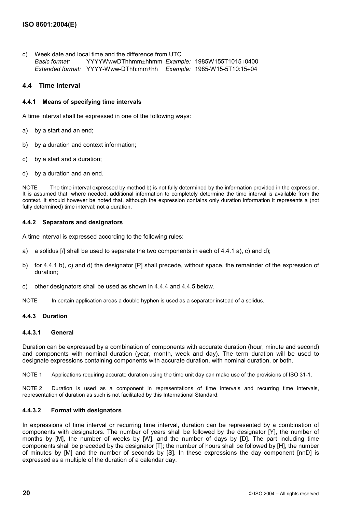c) Week date and local time and the difference from UTC *Basic format:* YYYYWwwDThhmm±hhmm *Example:* 1985W155T1015+0400 *Extended format:* YYYY-Www-DThh:mm±hh *Example:* 1985-W15-5T10:15+04

# **4.4 Time interval**

# **4.4.1 Means of specifying time intervals**

A time interval shall be expressed in one of the following ways:

- a) by a start and an end;
- b) by a duration and context information;
- c) by a start and a duration;
- d) by a duration and an end.

NOTE The time interval expressed by method b) is not fully determined by the information provided in the expression. It is assumed that, where needed, additional information to completely determine the time interval is available from the context. It should however be noted that, although the expression contains only duration information it represents a (not fully determined) time interval; not a duration.

# **4.4.2 Separators and designators**

A time interval is expressed according to the following rules:

- a) a solidus  $[7]$  shall be used to separate the two components in each of 4.4.1 a), c) and d);
- b) for 4.4.1 b), c) and d) the designator [P] shall precede, without space, the remainder of the expression of duration;
- c) other designators shall be used as shown in 4.4.4 and 4.4.5 below.
- NOTE In certain application areas a double hyphen is used as a separator instead of a solidus.

# **4.4.3 Duration**

# **4.4.3.1 General**

Duration can be expressed by a combination of components with accurate duration (hour, minute and second) and components with nominal duration (year, month, week and day). The term duration will be used to designate expressions containing components with accurate duration, with nominal duration, or both.

NOTE 1 Applications requiring accurate duration using the time unit day can make use of the provisions of ISO 31-1.

NOTE 2 Duration is used as a component in representations of time intervals and recurring time intervals, representation of duration as such is not facilitated by this International Standard.

# **4.4.3.2 Format with designators**

In expressions of time interval or recurring time interval, duration can be represented by a combination of components with designators. The number of years shall be followed by the designator [Y], the number of months by [M], the number of weeks by [W], and the number of days by [D]. The part including time components shall be preceded by the designator [T]; the number of hours shall be followed by [H], the number of minutes by [M] and the number of seconds by [S]. In these expressions the day component [nnD] is expressed as a multiple of the duration of a calendar day.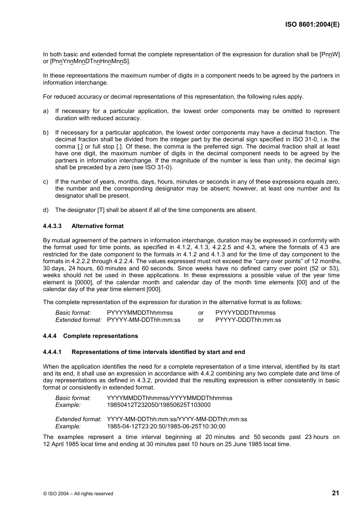In both basic and extended format the complete representation of the expression for duration shall be [PnnW] or [PnnYnnMnnDTnnHnnMnnS].

In these representations the maximum number of digits in a component needs to be agreed by the partners in information interchange.

For reduced accuracy or decimal representations of this representation, the following rules apply.

- a) If necessary for a particular application, the lowest order components may be omitted to represent duration with reduced accuracy.
- b) If necessary for a particular application, the lowest order components may have a decimal fraction. The decimal fraction shall be divided from the integer part by the decimal sign specified in ISO 31-0, i.e. the comma [,] or full stop [.]. Of these, the comma is the preferred sign. The decimal fraction shall at least have one digit, the maximum number of digits in the decimal component needs to be agreed by the partners in information interchange. If the magnitude of the number is less than unity, the decimal sign shall be preceded by a zero (see ISO 31-0).
- c) If the number of years, months, days, hours, minutes or seconds in any of these expressions equals zero, the number and the corresponding designator may be absent; however, at least one number and its designator shall be present.
- d) The designator [T] shall be absent if all of the time components are absent.

# **4.4.3.3 Alternative format**

By mutual agreement of the partners in information interchange, duration may be expressed in conformity with the format used for time points, as specified in 4.1.2, 4.1.3, 4.2.2.5 and 4.3, where the formats of 4.3 are restricted for the date component to the formats in 4.1.2 and 4.1.3 and for the time of day component to the formats in 4.2.2.2 through 4.2.2.4. The values expressed must not exceed the "carry over points" of 12 months, 30 days, 24 hours, 60 minutes and 60 seconds. Since weeks have no defined carry over point (52 or 53), weeks should not be used in these applications. In these expressions a possible value of the year time element is [0000], of the calendar month and calendar day of the month time elements [00] and of the calendar day of the year time element [000].

The complete representation of the expression for duration in the alternative format is as follows:

| Basic format: | <b>PYYYYMMDDThhmmss</b>                      | <b>PYYYYDDDThhmmss</b> |
|---------------|----------------------------------------------|------------------------|
|               | <i>Extended format:</i> PYYYY-MM-DDThh:mm:ss | PYYYY-DDDThh:mm:ss     |

#### **4.4.4 Complete representations**

#### **4.4.4.1 Representations of time intervals identified by start and end**

When the application identifies the need for a complete representation of a time interval, identified by its start and its end, it shall use an expression in accordance with 4.4.2 combining any two complete date and time of day representations as defined in 4.3.2, provided that the resulting expression is either consistently in basic format or consistently in extended format.

| Basic format: | YYYYMMDDThhmmss/YYYYMMDDThhmmss |
|---------------|---------------------------------|
| Example:      | 19850412T232050/19850625T103000 |

*Extended format:* YYYY-MM-DDThh:mm:ss/YYYY-MM-DDThh:mm:ss *Example:* 1985-04-12T23:20:50/1985-06-25T10:30:00

The examples represent a time interval beginning at 20 minutes and 50 seconds past 23 hours on 12 April 1985 local time and ending at 30 minutes past 10 hours on 25 June 1985 local time.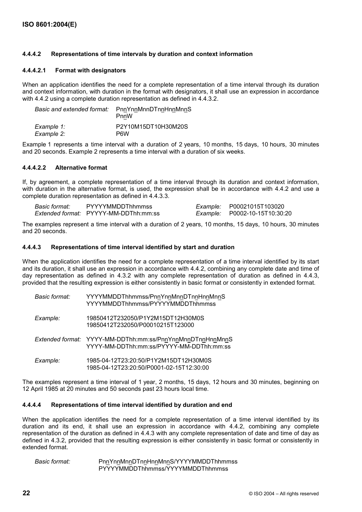# **4.4.4.2 Representations of time intervals by duration and context information**

# **4.4.4.2.1 Format with designators**

When an application identifies the need for a complete representation of a time interval through its duration and context information, with duration in the format with designators, it shall use an expression in accordance with 4.4.2 using a complete duration representation as defined in 4.4.3.2.

| Basic and extended format: | PnnYnnMnnDTnnHnnMnnS<br>PnnW |
|----------------------------|------------------------------|
| Example 1:                 | P2Y10M15DT10H30M20S          |
| Example 2:                 | <b>P6W</b>                   |

Example 1 represents a time interval with a duration of 2 years, 10 months, 15 days, 10 hours, 30 minutes and 20 seconds. Example 2 represents a time interval with a duration of six weeks.

# **4.4.4.2.2 Alternative format**

If, by agreement, a complete representation of a time interval through its duration and context information, with duration in the alternative format, is used, the expression shall be in accordance with 4.4.2 and use a complete duration representation as defined in 4.4.3.3.

| Basic format: | PYYYYMMDDThhmmss                      | <i>Example:</i> P00021015T103020 |
|---------------|---------------------------------------|----------------------------------|
|               | Extended format: PYYYY-MM-DDThh:mm:ss | Example: P0002-10-15T10:30:20    |

The examples represent a time interval with a duration of 2 years, 10 months, 15 days, 10 hours, 30 minutes and 20 seconds.

#### **4.4.4.3 Representations of time interval identified by start and duration**

When the application identifies the need for a complete representation of a time interval identified by its start and its duration, it shall use an expression in accordance with 4.4.2, combining any complete date and time of day representation as defined in 4.3.2 with any complete representation of duration as defined in 4.4.3, provided that the resulting expression is either consistently in basic format or consistently in extended format.

| Basic format: | YYYYMMDDThhmmss/PnnYnnMnnDTnnHnnMnnS<br>YYYYMMDDThhmmss/PYYYYMMDDThhmmss                              |
|---------------|-------------------------------------------------------------------------------------------------------|
| Example:      | 19850412T232050/P1Y2M15DT12H30M0S<br>19850412T232050/P00010215T123000                                 |
|               | Extended format: YYYY-MM-DDThh:mm:ss/PnnYnnMnnDTnnHnnMnnS<br>YYYY-MM-DDThh:mm:ss/PYYYY-MM-DDThh:mm:ss |
| Example:      | 1985-04-12T23:20:50/P1Y2M15DT12H30M0S<br>1985-04-12T23:20:50/P0001-02-15T12:30:00                     |

The examples represent a time interval of 1 year, 2 months, 15 days, 12 hours and 30 minutes, beginning on 12 April 1985 at 20 minutes and 50 seconds past 23 hours local time.

# **4.4.4.4 Representations of time interval identified by duration and end**

When the application identifies the need for a complete representation of a time interval identified by its duration and its end, it shall use an expression in accordance with 4.4.2, combining any complete representation of the duration as defined in 4.4.3 with any complete representation of date and time of day as defined in 4.3.2, provided that the resulting expression is either consistently in basic format or consistently in extended format.

| Basic format: | PnnYnnMnnDTnnHnnMnnS/YYYYMMDDThhmmss |
|---------------|--------------------------------------|
|               | PYYYYMMDDThhmmss/YYYYMMDDThhmmss     |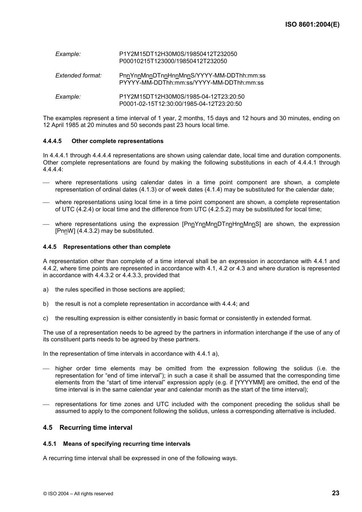| Example:         | P1Y2M15DT12H30M0S/19850412T232050<br>P00010215T123000/19850412T232050                |
|------------------|--------------------------------------------------------------------------------------|
| Extended format: | PnnYnnMnnDTnnHnnMnnS/YYYY-MM-DDThh:mm:ss<br>PYYYY-MM-DDThh:mm:ss/YYYY-MM-DDThh:mm:ss |
| Example:         | P1Y2M15DT12H30M0S/1985-04-12T23:20:50<br>P0001-02-15T12:30:00/1985-04-12T23:20:50    |

The examples represent a time interval of 1 year, 2 months, 15 days and 12 hours and 30 minutes, ending on 12 April 1985 at 20 minutes and 50 seconds past 23 hours local time.

# **4.4.4.5 Other complete representations**

In 4.4.4.1 through 4.4.4.4 representations are shown using calendar date, local time and duration components. Other complete representations are found by making the following substitutions in each of 4.4.4.1 through 4.4.4.4:

- where representations using calendar dates in a time point component are shown, a complete representation of ordinal dates (4.1.3) or of week dates (4.1.4) may be substituted for the calendar date;
- where representations using local time in a time point component are shown, a complete representation of UTC (4.2.4) or local time and the difference from UTC (4.2.5.2) may be substituted for local time;
- where representations using the expression [PnnYnnMnnDTnnHnnMnnS] are shown, the expression [PnnW] (4.4.3.2) may be substituted.

# **4.4.5 Representations other than complete**

A representation other than complete of a time interval shall be an expression in accordance with 4.4.1 and 4.4.2, where time points are represented in accordance with 4.1, 4.2 or 4.3 and where duration is represented in accordance with 4.4.3.2 or 4.4.3.3, provided that

- a) the rules specified in those sections are applied;
- b) the result is not a complete representation in accordance with 4.4.4; and
- c) the resulting expression is either consistently in basic format or consistently in extended format.

The use of a representation needs to be agreed by the partners in information interchange if the use of any of its constituent parts needs to be agreed by these partners.

In the representation of time intervals in accordance with 4.4.1 a),

- higher order time elements may be omitted from the expression following the solidus (i.e. the representation for "end of time interval"); in such a case it shall be assumed that the corresponding time elements from the "start of time interval" expression apply (e.g. if [YYYYMM] are omitted, the end of the time interval is in the same calendar year and calendar month as the start of the time interval);
- representations for time zones and UTC included with the component preceding the solidus shall be assumed to apply to the component following the solidus, unless a corresponding alternative is included.

# **4.5 Recurring time interval**

# **4.5.1 Means of specifying recurring time intervals**

A recurring time interval shall be expressed in one of the following ways.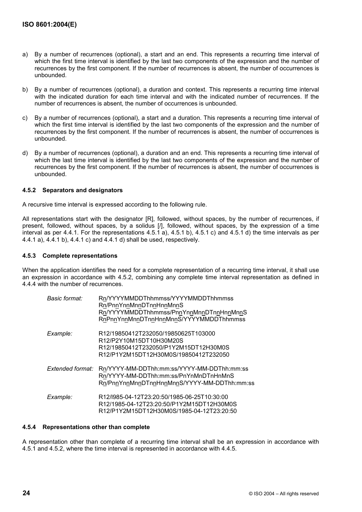- a) By a number of recurrences (optional), a start and an end. This represents a recurring time interval of which the first time interval is identified by the last two components of the expression and the number of recurrences by the first component. If the number of recurrences is absent, the number of occurrences is unbounded.
- b) By a number of recurrences (optional), a duration and context. This represents a recurring time interval with the indicated duration for each time interval and with the indicated number of recurrences. If the number of recurrences is absent, the number of occurrences is unbounded.
- c) By a number of recurrences (optional), a start and a duration. This represents a recurring time interval of which the first time interval is identified by the last two components of the expression and the number of recurrences by the first component. If the number of recurrences is absent, the number of occurrences is unbounded.
- d) By a number of recurrences (optional), a duration and an end. This represents a recurring time interval of which the last time interval is identified by the last two components of the expression and the number of recurrences by the first component. If the number of recurrences is absent, the number of occurrences is unbounded.

# **4.5.2 Separators and designators**

A recursive time interval is expressed according to the following rule.

All representations start with the designator [R], followed, without spaces, by the number of recurrences, if present, followed, without spaces, by a solidus [/], followed, without spaces, by the expression of a time interval as per 4.4.1. For the representations 4.5.1 a), 4.5.1 b), 4.5.1 c) and 4.5.1 d) the time intervals as per 4.4.1 a), 4.4.1 b), 4.4.1 c) and 4.4.1 d) shall be used, respectively.

# **4.5.3 Complete representations**

When the application identifies the need for a complete representation of a recurring time interval, it shall use an expression in accordance with 4.5.2, combining any complete time interval representation as defined in 4.4.4 with the number of recurrences.

| Basic format:    | Rn/YYYYMMDDThhmmss/YYYYMMDDThhmmss<br>Rn/PnnYnnMnnDTnnHnnMnnS<br>Rn/YYYYMMDDThhmmss/PnnYnnMnnDTnnHnnMnnS<br>RnPnnYnnMnnDTnnHnnMnnS/YYYYMMDDThhmmss |
|------------------|----------------------------------------------------------------------------------------------------------------------------------------------------|
| Example:         | R12/19850412T232050/19850625T103000<br>R12/P2Y10M15DT10H30M20S<br>R12/19850412T232050/P1Y2M15DT12H30M0S<br>R12/P1Y2M15DT12H30M0S/19850412T232050   |
| Extended format: | Rn/YYYY-MM-DDThh:mm:ss/YYYY-MM-DDThh:mm:ss<br>Rn/YYYY-MM-DDThh:mm:ss/PnYnMnDTnHnMnS<br>Rn/PnnYnnMnnDTnnHnnMnnS/YYYY-MM-DDThh:mm:ss                 |
| Example:         | R12/l985-04-12T23:20:50/1985-06-25T10:30:00<br>R12/1985-04-12T23:20:50/P1Y2M15DT12H30M0S<br>R12/P1Y2M15DT12H30M0S/1985-04-12T23:20:50              |

# **4.5.4 Representations other than complete**

A representation other than complete of a recurring time interval shall be an expression in accordance with 4.5.1 and 4.5.2, where the time interval is represented in accordance with 4.4.5.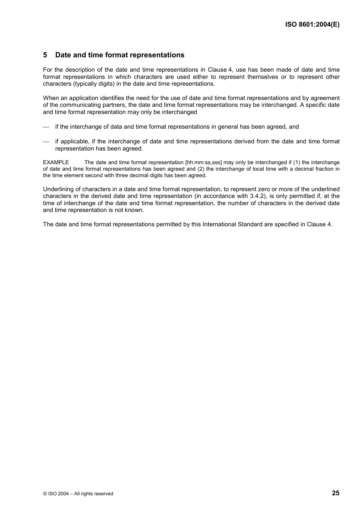# **5 Date and time format representations**

For the description of the date and time representations in Clause 4, use has been made of date and time format representations in which characters are used either to represent themselves or to represent other characters (typically digits) in the date and time representations.

When an application identifies the need for the use of date and time format representations and by agreement of the communicating partners, the date and time format representations may be interchanged. A specific date and time format representation may only be interchanged

- if the interchange of data and time format representations in general has been agreed, and
- if applicable, if the interchange of date and time representations derived from the date and time format representation has been agreed.

EXAMPLE The date and time format representation [hh:mm:ss,sss] may only be interchanged if (1) the interchange of date and time format representations has been agreed and (2) the interchange of local time with a decimal fraction in the time element second with three decimal digits has been agreed.

Underlining of characters in a date and time format representation, to represent zero or more of the underlined characters in the derived date and time representation (in accordance with 3.4.2), is only permitted if, at the time of interchange of the date and time format representation, the number of characters in the derived date and time representation is not known.

The date and time format representations permitted by this International Standard are specified in Clause 4.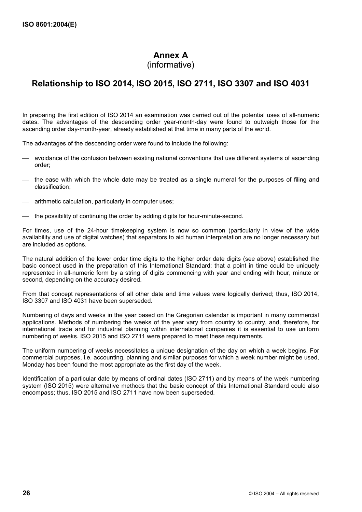# **Annex A**

(informative)

# **Relationship to ISO 2014, ISO 2015, ISO 2711, ISO 3307 and ISO 4031**

In preparing the first edition of ISO 2014 an examination was carried out of the potential uses of all-numeric dates. The advantages of the descending order year-month-day were found to outweigh those for the ascending order day-month-year, already established at that time in many parts of the world.

The advantages of the descending order were found to include the following:

- $-$  avoidance of the confusion between existing national conventions that use different systems of ascending order;
- $-$  the ease with which the whole date may be treated as a single numeral for the purposes of filing and classification;
- arithmetic calculation, particularly in computer uses;
- the possibility of continuing the order by adding digits for hour-minute-second.

For times, use of the 24-hour timekeeping system is now so common (particularly in view of the wide availability and use of digital watches) that separators to aid human interpretation are no longer necessary but are included as options.

The natural addition of the lower order time digits to the higher order date digits (see above) established the basic concept used in the preparation of this International Standard: that a point in time could be uniquely represented in all-numeric form by a string of digits commencing with year and ending with hour, minute or second, depending on the accuracy desired.

From that concept representations of all other date and time values were logically derived; thus, ISO 2014, ISO 3307 and ISO 4031 have been superseded.

Numbering of days and weeks in the year based on the Gregorian calendar is important in many commercial applications. Methods of numbering the weeks of the year vary from country to country, and, therefore, for international trade and for industrial planning within international companies it is essential to use uniform numbering of weeks. ISO 2015 and ISO 2711 were prepared to meet these requirements.

The uniform numbering of weeks necessitates a unique designation of the day on which a week begins. For commercial purposes, i.e. accounting, planning and similar purposes for which a week number might be used, Monday has been found the most appropriate as the first day of the week.

Identification of a particular date by means of ordinal dates (ISO 2711) and by means of the week numbering system (ISO 2015) were alternative methods that the basic concept of this International Standard could also encompass; thus, ISO 2015 and ISO 2711 have now been superseded.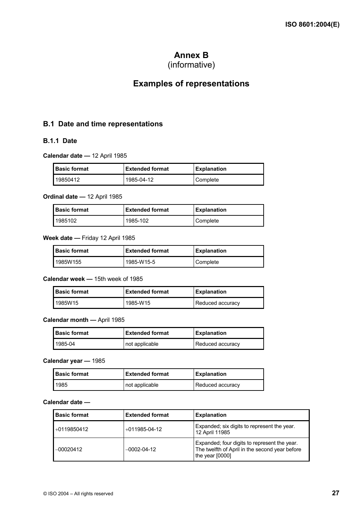# **Annex B**

# (informative)

# **Examples of representations**

# **B.1 Date and time representations**

# **B.1.1 Date**

**Calendar date —** 12 April 1985

| <b>I</b> Basic format | l Extended format | <b>Explanation</b> |
|-----------------------|-------------------|--------------------|
| 19850412              | 1985-04-12        | Complete           |

# **Ordinal date —** 12 April 1985

| <b>Basic format</b> | <b>Extended format</b> | <b>Explanation</b> |
|---------------------|------------------------|--------------------|
| 1985102             | 1985-102               | Complete           |

# **Week date —** Friday 12 April 1985

| <b>Basic format</b> | l Extended format | <b>Explanation</b> |
|---------------------|-------------------|--------------------|
| l 1985W155          | 1985-W15-5        | Complete           |

# **Calendar week —** 15th week of 1985

| l Basic format | l Extended format | <b>Explanation</b> |
|----------------|-------------------|--------------------|
| 1985W15        | 1985-W15          | Reduced accuracy   |

# **Calendar month —** April 1985

| <b>Basic format</b> | <b>Extended format</b> | <b>Explanation</b> |
|---------------------|------------------------|--------------------|
| 1985-04             | not applicable         | Reduced accuracy   |

# **Calendar year —** 1985

| <b>I Basic format</b> | <b>Extended format</b> | <b>Explanation</b> |
|-----------------------|------------------------|--------------------|
| <b>1985</b>           | not applicable         | Reduced accuracy   |

# **Calendar date —**

| <b>Basic format</b> | <b>Extended format</b> | <b>Explanation</b>                                                                                                  |
|---------------------|------------------------|---------------------------------------------------------------------------------------------------------------------|
| $+0119850412$       | $+011985-04-12$        | Expanded; six digits to represent the year.<br>12 April 11985                                                       |
| $-00020412$         | $-0002 - 04 - 12$      | Expanded; four digits to represent the year.<br>The twelfth of April in the second year before<br>the year $[0000]$ |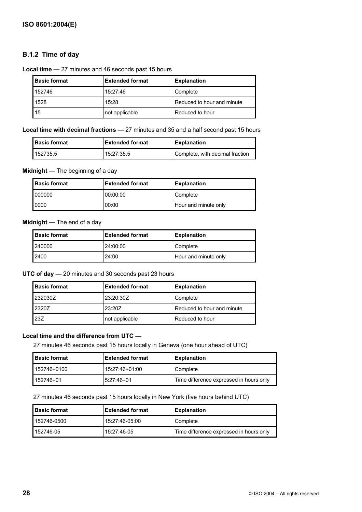# **B.1.2 Time of day**

# **Local time —** 27 minutes and 46 seconds past 15 hours

| <b>Basic format</b> | <b>Extended format</b> | <b>Explanation</b>         |
|---------------------|------------------------|----------------------------|
| 152746              | 15:27:46               | Complete                   |
| 1528                | 15:28                  | Reduced to hour and minute |
| l 15                | not applicable         | Reduced to hour            |

**Local time with decimal fractions —** 27 minutes and 35 and a half second past 15 hours

| l Basic format | l Extended format | <b>Explanation</b>              |
|----------------|-------------------|---------------------------------|
| 152735.5       | 15:27:35.5        | Complete, with decimal fraction |

# **Midnight —** The beginning of a day

| <b>Basic format</b> | <b>Extended format</b> | <b>Explanation</b>   |
|---------------------|------------------------|----------------------|
| 000000              | 00:00:00               | Complete             |
| 0000                | 00:00                  | Hour and minute only |

# **Midnight —** The end of a day

| <b>Basic format</b> | <b>Extended format</b> | <b>Explanation</b>   |
|---------------------|------------------------|----------------------|
| 240000              | 24:00:00               | Complete             |
| 2400                | 24:00                  | Hour and minute only |

**UTC of day —** 20 minutes and 30 seconds past 23 hours

| l Basic format | <b>Extended format</b> | <b>Explanation</b>         |
|----------------|------------------------|----------------------------|
| 232030Z        | 23:20:30Z              | Complete                   |
| 2320Z          | 23:20Z                 | Reduced to hour and minute |
| <b>123Z</b>    | not applicable         | Reduced to hour            |

# **Local time and the difference from UTC —**

27 minutes 46 seconds past 15 hours locally in Geneva (one hour ahead of UTC)

| <b>Basic format</b> | <b>Extended format</b> | <b>Explanation</b>                      |
|---------------------|------------------------|-----------------------------------------|
| 152746+0100         | 15:27:46+01:00         | Complete                                |
| 152746+01           | $5:27:46+01$           | Time difference expressed in hours only |

27 minutes 46 seconds past 15 hours locally in New York (five hours behind UTC)

| <b>Basic format</b> | l Extended format | <b>Explanation</b>                      |
|---------------------|-------------------|-----------------------------------------|
| 152746-0500         | 15:27:46-05:00    | Complete                                |
| 152746-05           | 15:27:46-05       | Time difference expressed in hours only |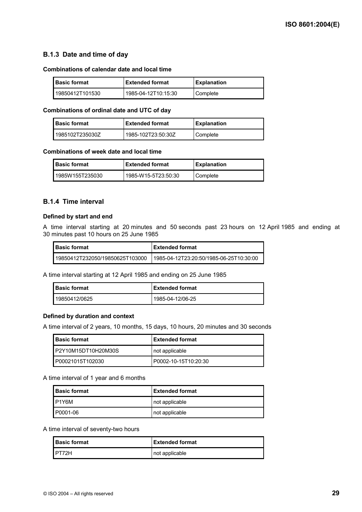# **B.1.3 Date and time of day**

# **Combinations of calendar date and local time**

| <b>I</b> Basic format | l Extended format   | <b>Explanation</b> |
|-----------------------|---------------------|--------------------|
| l 19850412T101530     | 1985-04-12T10:15:30 | Complete           |

# **Combinations of ordinal date and UTC of day**

| <b>Basic format</b> | l Extended format  | l Explanation |
|---------------------|--------------------|---------------|
| 1985102T235030Z     | 1985-102T23:50:30Z | Complete      |

# **Combinations of week date and local time**

| <b>I Basic format</b> | l Extended format   | <b>Explanation</b> |
|-----------------------|---------------------|--------------------|
| 1985W155T235030       | 1985-W15-5T23:50:30 | Complete           |

# **B.1.4 Time interval**

# **Defined by start and end**

A time interval starting at 20 minutes and 50 seconds past 23 hours on 12 April 1985 and ending at 30 minutes past 10 hours on 25 June 1985

| <b>I</b> Basic format | l Extended format                                                                                  |
|-----------------------|----------------------------------------------------------------------------------------------------|
|                       | 19850412T232050/19850625T103000                            1985-04-12T23:20:50/1985-06-25T10:30:00 |

A time interval starting at 12 April 1985 and ending on 25 June 1985

| l Basic format | ⊦Extended format |
|----------------|------------------|
| 19850412/0625  | 1985-04-12/06-25 |

# **Defined by duration and context**

A time interval of 2 years, 10 months, 15 days, 10 hours, 20 minutes and 30 seconds

| <b>Basic format</b>  | l Extended format    |  |
|----------------------|----------------------|--|
| IP2Y10M15DT10H20M30S | not applicable       |  |
| P00021015T102030     | P0002-10-15T10:20:30 |  |

A time interval of 1 year and 6 months

| <b>Basic format</b> | Extended format |  |
|---------------------|-----------------|--|
| P1Y6M               | not applicable  |  |
| P0001-06            | not applicable  |  |

# A time interval of seventy-two hours

| <b>Basic format</b> | <b>Extended format</b> |
|---------------------|------------------------|
| IPT72H              | not applicable         |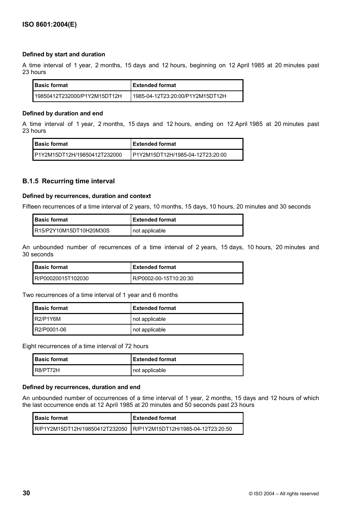# **Defined by start and duration**

A time interval of 1 year, 2 months, 15 days and 12 hours, beginning on 12 April 1985 at 20 minutes past 23 hours

| <b>Basic format</b>          | l Extended format                |
|------------------------------|----------------------------------|
| 19850412T232000/P1Y2M15DT12H | 1985-04-12T23:20:00/P1Y2M15DT12H |

# **Defined by duration and end**

A time interval of 1 year, 2 months, 15 days and 12 hours, ending on 12 April 1985 at 20 minutes past 23 hours

| <b>I Basic format</b>        | <b>Extended format</b>           |
|------------------------------|----------------------------------|
| P1Y2M15DT12H/19850412T232000 | P1Y2M15DT12H/1985-04-12T23:20:00 |

# **B.1.5 Recurring time interval**

# **Defined by recurrences, duration and context**

Fifteen recurrences of a time interval of 2 years, 10 months, 15 days, 10 hours, 20 minutes and 30 seconds

| <b>Basic format</b>     | l Extended format |
|-------------------------|-------------------|
| R15/P2Y10M15DT10H20M30S | not applicable    |

An unbounded number of recurrences of a time interval of 2 years, 15 days, 10 hours, 20 minutes and 30 seconds

| l Basic format     | <b>Extended format</b> |
|--------------------|------------------------|
| R/P00020015T102030 | R/P0002-00-15T10:20:30 |

Two recurrences of a time interval of 1 year and 6 months

| <b>I Basic format</b> | l Extended format |  |
|-----------------------|-------------------|--|
| IR2/P1Y6M             | not applicable    |  |
| R2/P0001-06           | not applicable    |  |

Eight recurrences of a time interval of 72 hours

| l Basic format | <b>Extended format</b> |
|----------------|------------------------|
| IR8/PT72H      | not applicable         |

# **Defined by recurrences, duration and end**

An unbounded number of occurrences of a time interval of 1 year, 2 months, 15 days and 12 hours of which the last occurrence ends at 12 April 1985 at 20 minutes and 50 seconds past 23 hours

| <b>Basic format</b> | l Extended format                                                 |
|---------------------|-------------------------------------------------------------------|
|                     | R/P1Y2M15DT12H/19850412T232050 R/P1Y2M15DT12H/1985-04-12T23:20:50 |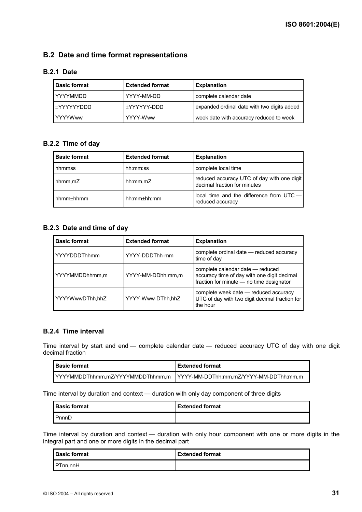# **B.2 Date and time format representations**

# **B.2.1 Date**

| <b>Basic format</b> | <b>Extended format</b> | <b>Explanation</b>                          |
|---------------------|------------------------|---------------------------------------------|
| YYYYMMDD            | YYYY-MM-DD             | complete calendar date                      |
| <b>+YYYYYYDDD</b>   | +YYYYYY-DDD            | expanded ordinal date with two digits added |
| YYYYWww             | YYYY-Www               | week date with accuracy reduced to week     |

# **B.2.2 Time of day**

| <b>Basic format</b> | <b>Extended format</b> | <b>Explanation</b>                                                         |
|---------------------|------------------------|----------------------------------------------------------------------------|
| . hhmmss            | hh:mm:ss               | complete local time                                                        |
| hhmm, mZ            | hh:mm,mZ               | reduced accuracy UTC of day with one digit<br>decimal fraction for minutes |
| hhmm+hhmm           | $hh:mm\pm hh:mm$       | local time and the difference from $UTC - l$<br>reduced accuracy           |

# **B.2.3 Date and time of day**

| <b>Basic format</b> | <b>Extended format</b> | <b>Explanation</b>                                                                                                          |
|---------------------|------------------------|-----------------------------------------------------------------------------------------------------------------------------|
| YYYYDDDThhmm        | YYYY-DDDThh-mm         | complete ordinal date - reduced accuracy<br>time of day                                                                     |
| YYYYMMDDhhmm,m      | YYYY-MM-DDhh:mm,m      | complete calendar date - reduced<br>accuracy time of day with one digit decimal<br>fraction for minute - no time designator |
| YYYYWwwDThh,hhZ     | YYYY-Www-DThh,hhZ      | complete week date - reduced accuracy<br>UTC of day with two digit decimal fraction for<br>the hour                         |

# **B.2.4 Time interval**

Time interval by start and end — complete calendar date — reduced accuracy UTC of day with one digit decimal fraction

| <b>Basic format</b> | l Extended format                                                         |
|---------------------|---------------------------------------------------------------------------|
|                     | IYYYYMMDDThhmm.mZ/YYYYMMDDThhmm.m IYYYY-MM-DDThh:mm.mZ/YYYY-MM-DDThh:mm.m |

Time interval by duration and context — duration with only day component of three digits

| <b>Basic format</b> | <b>Extended format</b> |
|---------------------|------------------------|
| <b>I</b> PnnnD      |                        |

Time interval by duration and context — duration with only hour component with one or more digits in the integral part and one or more digits in the decimal part

| <b>Basic format</b>                              | Extended format |
|--------------------------------------------------|-----------------|
| $\blacksquare$ P $\mathsf{Tnn}$ ,nn $\mathsf{H}$ |                 |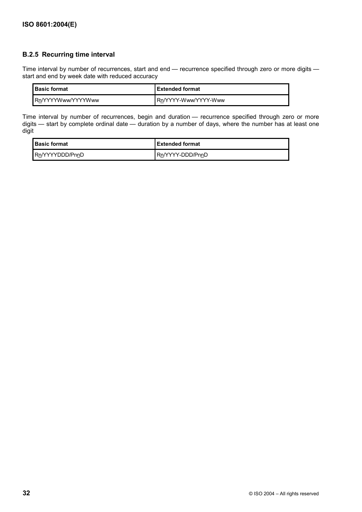# **B.2.5 Recurring time interval**

Time interval by number of recurrences, start and end — recurrence specified through zero or more digits start and end by week date with reduced accuracy

| <b>Basic format</b> | l Extended format      |
|---------------------|------------------------|
| IRn/YYYYWww/YYYYWww | I Rn/YYYY-Www/YYYY-Www |

Time interval by number of recurrences, begin and duration — recurrence specified through zero or more digits — start by complete ordinal date — duration by a number of days, where the number has at least one digit

| <b>Basic format</b>                                                | <b>Extended format</b> |
|--------------------------------------------------------------------|------------------------|
| Rn/YYYYDDD/PnnD<br><b>Contract Contract Contract Contract</b><br>_ | Rn/YYYY-DDD/PnnD       |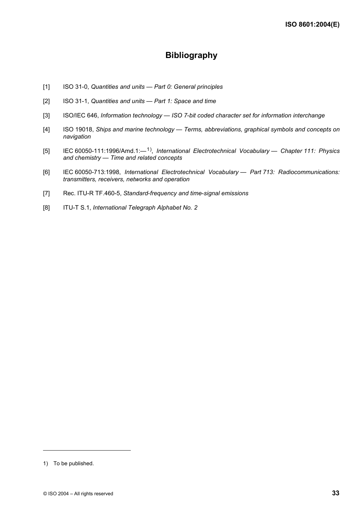# **Bibliography**

- [1] ISO 31-0, *Quantities and units Part 0: General principles*
- [2] ISO 31-1, *Quantities and units Part 1: Space and time*
- [3] ISO/IEC 646, *Information technology ISO 7*-*bit coded character set for information interchange*
- [4] ISO 19018, *Ships and marine technology Terms, abbreviations, graphical symbols and concepts on navigation*
- [5] IEC 60050-111:1996/Amd.1:—1), *International Electrotechnical Vocabulary Chapter 111: Physics and chemistry — Time and related concepts*
- [6] IEC 60050-713:1998, *International Electrotechnical Vocabulary Part 713: Radiocommunications: transmitters, receivers, networks and operation*
- [7] Rec. ITU-R TF.460-5, *Standard*-*frequency and time*-*signal emissions*
- [8] ITU-T S.1, *International Telegraph Alphabet No. 2*

l

<sup>1)</sup> To be published.